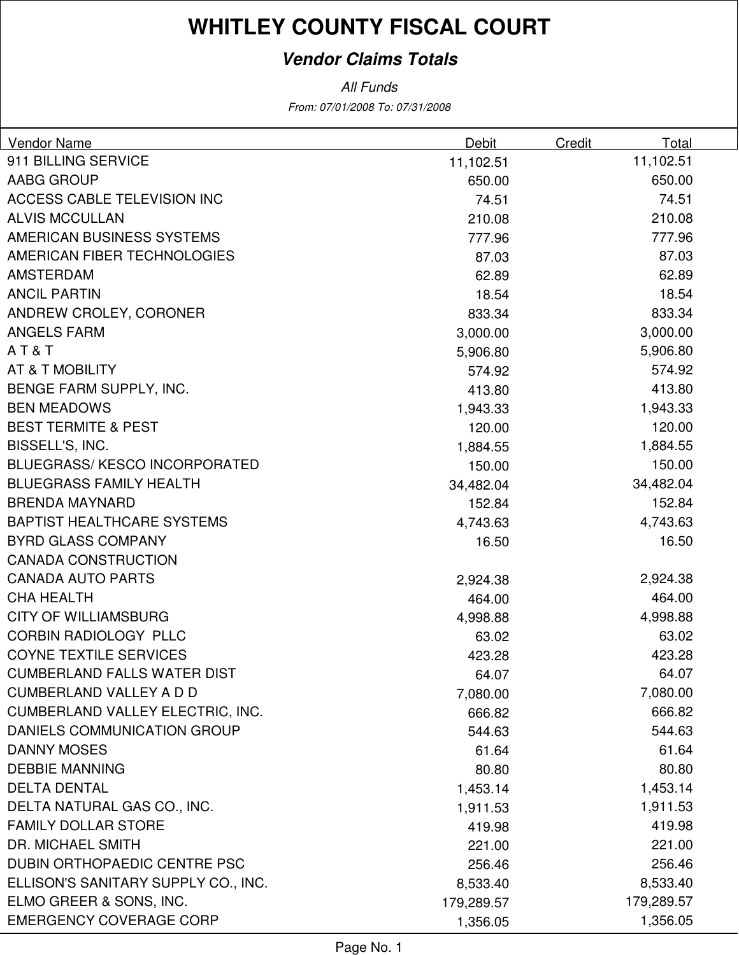# **WHITLEY COUNTY FISCAL COURT**

#### **Vendor Claims Totals**

From: 07/01/2008 To: 07/31/2008 All Funds

| Vendor Name                             | Debit      | Credit | Total      |
|-----------------------------------------|------------|--------|------------|
| 911 BILLING SERVICE                     | 11,102.51  |        | 11,102.51  |
| <b>AABG GROUP</b>                       | 650.00     |        | 650.00     |
| ACCESS CABLE TELEVISION INC             | 74.51      |        | 74.51      |
| <b>ALVIS MCCULLAN</b>                   | 210.08     |        | 210.08     |
| AMERICAN BUSINESS SYSTEMS               | 777.96     |        | 777.96     |
| AMERICAN FIBER TECHNOLOGIES             | 87.03      |        | 87.03      |
| <b>AMSTERDAM</b>                        | 62.89      |        | 62.89      |
| <b>ANCIL PARTIN</b>                     | 18.54      |        | 18.54      |
| ANDREW CROLEY, CORONER                  | 833.34     |        | 833.34     |
| <b>ANGELS FARM</b>                      | 3,000.00   |        | 3,000.00   |
| AT&T                                    | 5,906.80   |        | 5,906.80   |
| <b>AT &amp; T MOBILITY</b>              | 574.92     |        | 574.92     |
| BENGE FARM SUPPLY, INC.                 | 413.80     |        | 413.80     |
| <b>BEN MEADOWS</b>                      | 1,943.33   |        | 1,943.33   |
| <b>BEST TERMITE &amp; PEST</b>          | 120.00     |        | 120.00     |
| BISSELL'S, INC.                         | 1,884.55   |        | 1,884.55   |
| <b>BLUEGRASS/KESCO INCORPORATED</b>     | 150.00     |        | 150.00     |
| <b>BLUEGRASS FAMILY HEALTH</b>          | 34,482.04  |        | 34,482.04  |
| <b>BRENDA MAYNARD</b>                   | 152.84     |        | 152.84     |
| <b>BAPTIST HEALTHCARE SYSTEMS</b>       | 4,743.63   |        | 4,743.63   |
| <b>BYRD GLASS COMPANY</b>               | 16.50      |        | 16.50      |
| <b>CANADA CONSTRUCTION</b>              |            |        |            |
| <b>CANADA AUTO PARTS</b>                | 2,924.38   |        | 2,924.38   |
| <b>CHA HEALTH</b>                       | 464.00     |        | 464.00     |
| <b>CITY OF WILLIAMSBURG</b>             | 4,998.88   |        | 4,998.88   |
| <b>CORBIN RADIOLOGY PLLC</b>            | 63.02      |        | 63.02      |
| <b>COYNE TEXTILE SERVICES</b>           | 423.28     |        | 423.28     |
| <b>CUMBERLAND FALLS WATER DIST</b>      | 64.07      |        | 64.07      |
| <b>CUMBERLAND VALLEY A D D</b>          | 7,080.00   |        | 7,080.00   |
| <b>CUMBERLAND VALLEY ELECTRIC, INC.</b> | 666.82     |        | 666.82     |
| DANIELS COMMUNICATION GROUP             | 544.63     |        | 544.63     |
| <b>DANNY MOSES</b>                      | 61.64      |        | 61.64      |
| <b>DEBBIE MANNING</b>                   | 80.80      |        | 80.80      |
| <b>DELTA DENTAL</b>                     | 1,453.14   |        | 1,453.14   |
| DELTA NATURAL GAS CO., INC.             | 1,911.53   |        | 1,911.53   |
| <b>FAMILY DOLLAR STORE</b>              | 419.98     |        | 419.98     |
| DR. MICHAEL SMITH                       | 221.00     |        | 221.00     |
| DUBIN ORTHOPAEDIC CENTRE PSC            | 256.46     |        | 256.46     |
| ELLISON'S SANITARY SUPPLY CO., INC.     | 8,533.40   |        | 8,533.40   |
| ELMO GREER & SONS, INC.                 | 179,289.57 |        | 179,289.57 |
| <b>EMERGENCY COVERAGE CORP</b>          | 1,356.05   |        | 1,356.05   |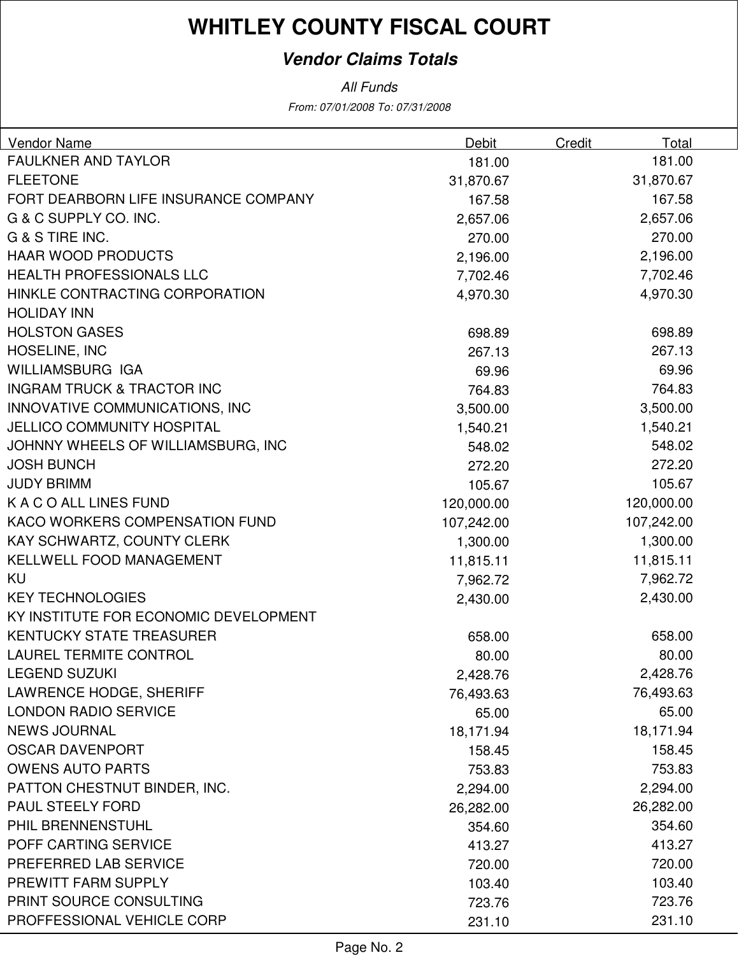# **WHITLEY COUNTY FISCAL COURT**

#### **Vendor Claims Totals**

All Funds

From: 07/01/2008 To: 07/31/2008

| Vendor Name                           | Debit      | Credit | Total      |
|---------------------------------------|------------|--------|------------|
| <b>FAULKNER AND TAYLOR</b>            | 181.00     |        | 181.00     |
| <b>FLEETONE</b>                       | 31,870.67  |        | 31,870.67  |
| FORT DEARBORN LIFE INSURANCE COMPANY  | 167.58     |        | 167.58     |
| G & C SUPPLY CO. INC.                 | 2,657.06   |        | 2,657.06   |
| G & S TIRE INC.                       | 270.00     |        | 270.00     |
| <b>HAAR WOOD PRODUCTS</b>             | 2,196.00   |        | 2,196.00   |
| HEALTH PROFESSIONALS LLC              | 7,702.46   |        | 7,702.46   |
| HINKLE CONTRACTING CORPORATION        | 4,970.30   |        | 4,970.30   |
| <b>HOLIDAY INN</b>                    |            |        |            |
| <b>HOLSTON GASES</b>                  | 698.89     |        | 698.89     |
| HOSELINE, INC                         | 267.13     |        | 267.13     |
| <b>WILLIAMSBURG IGA</b>               | 69.96      |        | 69.96      |
| <b>INGRAM TRUCK &amp; TRACTOR INC</b> | 764.83     |        | 764.83     |
| INNOVATIVE COMMUNICATIONS, INC        | 3,500.00   |        | 3,500.00   |
| <b>JELLICO COMMUNITY HOSPITAL</b>     | 1,540.21   |        | 1,540.21   |
| JOHNNY WHEELS OF WILLIAMSBURG, INC    | 548.02     |        | 548.02     |
| <b>JOSH BUNCH</b>                     | 272.20     |        | 272.20     |
| <b>JUDY BRIMM</b>                     | 105.67     |        | 105.67     |
| K A C O ALL LINES FUND                | 120,000.00 |        | 120,000.00 |
| KACO WORKERS COMPENSATION FUND        | 107,242.00 |        | 107,242.00 |
| KAY SCHWARTZ, COUNTY CLERK            | 1,300.00   |        | 1,300.00   |
| KELLWELL FOOD MANAGEMENT              | 11,815.11  |        | 11,815.11  |
| <b>KU</b>                             | 7,962.72   |        | 7,962.72   |
| <b>KEY TECHNOLOGIES</b>               | 2,430.00   |        | 2,430.00   |
| KY INSTITUTE FOR ECONOMIC DEVELOPMENT |            |        |            |
| <b>KENTUCKY STATE TREASURER</b>       | 658.00     |        | 658.00     |
| <b>LAUREL TERMITE CONTROL</b>         | 80.00      |        | 80.00      |
| <b>LEGEND SUZUKI</b>                  | 2,428.76   |        | 2,428.76   |
| LAWRENCE HODGE, SHERIFF               | 76,493.63  |        | 76,493.63  |
| <b>LONDON RADIO SERVICE</b>           | 65.00      |        | 65.00      |
| <b>NEWS JOURNAL</b>                   | 18,171.94  |        | 18,171.94  |
| <b>OSCAR DAVENPORT</b>                | 158.45     |        | 158.45     |
| <b>OWENS AUTO PARTS</b>               | 753.83     |        | 753.83     |
| PATTON CHESTNUT BINDER, INC.          | 2,294.00   |        | 2,294.00   |
| <b>PAUL STEELY FORD</b>               | 26,282.00  |        | 26,282.00  |
| PHIL BRENNENSTUHL                     | 354.60     |        | 354.60     |
| POFF CARTING SERVICE                  | 413.27     |        | 413.27     |
| PREFERRED LAB SERVICE                 | 720.00     |        | 720.00     |
| PREWITT FARM SUPPLY                   | 103.40     |        | 103.40     |
| PRINT SOURCE CONSULTING               | 723.76     |        | 723.76     |
| PROFFESSIONAL VEHICLE CORP            | 231.10     |        | 231.10     |